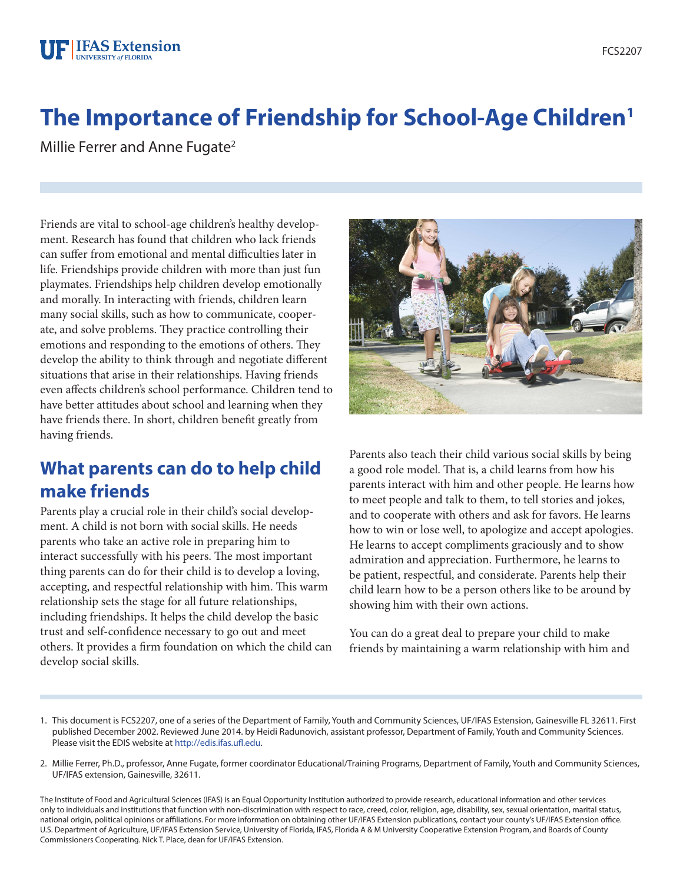

# **The Importance of Friendship for School-Age Children1**

Millie Ferrer and Anne Fugate2

Friends are vital to school-age children's healthy development. Research has found that children who lack friends can suffer from emotional and mental difficulties later in life. Friendships provide children with more than just fun playmates. Friendships help children develop emotionally and morally. In interacting with friends, children learn many social skills, such as how to communicate, cooperate, and solve problems. They practice controlling their emotions and responding to the emotions of others. They develop the ability to think through and negotiate different situations that arise in their relationships. Having friends even affects children's school performance. Children tend to have better attitudes about school and learning when they have friends there. In short, children benefit greatly from having friends.

## **What parents can do to help child make friends**

Parents play a crucial role in their child's social development. A child is not born with social skills. He needs parents who take an active role in preparing him to interact successfully with his peers. The most important thing parents can do for their child is to develop a loving, accepting, and respectful relationship with him. This warm relationship sets the stage for all future relationships, including friendships. It helps the child develop the basic trust and self-confidence necessary to go out and meet others. It provides a firm foundation on which the child can develop social skills.



Parents also teach their child various social skills by being a good role model. That is, a child learns from how his parents interact with him and other people. He learns how to meet people and talk to them, to tell stories and jokes, and to cooperate with others and ask for favors. He learns how to win or lose well, to apologize and accept apologies. He learns to accept compliments graciously and to show admiration and appreciation. Furthermore, he learns to be patient, respectful, and considerate. Parents help their child learn how to be a person others like to be around by showing him with their own actions.

You can do a great deal to prepare your child to make friends by maintaining a warm relationship with him and

- 1. This document is FCS2207, one of a series of the Department of Family, Youth and Community Sciences, UF/IFAS Estension, Gainesville FL 32611. First published December 2002. Reviewed June 2014. by Heidi Radunovich, assistant professor, Department of Family, Youth and Community Sciences. Please visit the EDIS website at [http://edis.ifas.ufl.edu.](http://edis.ifas.ufl.edu)
- 2. Millie Ferrer, Ph.D., professor, Anne Fugate, former coordinator Educational/Training Programs, Department of Family, Youth and Community Sciences, UF/IFAS extension, Gainesville, 32611.

The Institute of Food and Agricultural Sciences (IFAS) is an Equal Opportunity Institution authorized to provide research, educational information and other services only to individuals and institutions that function with non-discrimination with respect to race, creed, color, religion, age, disability, sex, sexual orientation, marital status, national origin, political opinions or affiliations. For more information on obtaining other UF/IFAS Extension publications, contact your county's UF/IFAS Extension office. U.S. Department of Agriculture, UF/IFAS Extension Service, University of Florida, IFAS, Florida A & M University Cooperative Extension Program, and Boards of County Commissioners Cooperating. Nick T. Place, dean for UF/IFAS Extension.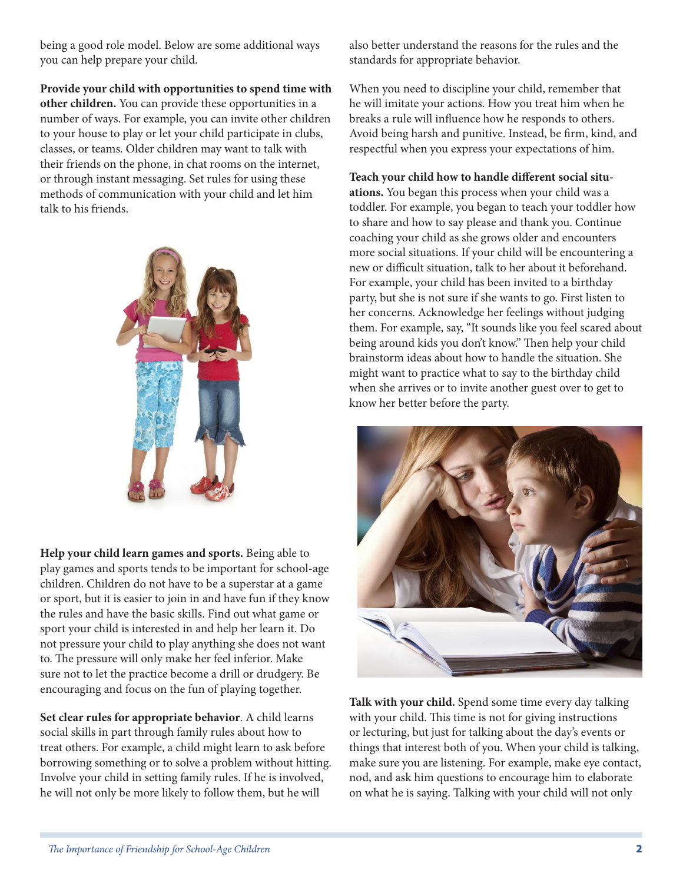being a good role model. Below are some additional ways you can help prepare your child.

**Provide your child with opportunities to spend time with other children.** You can provide these opportunities in a number of ways. For example, you can invite other children to your house to play or let your child participate in clubs, classes, or teams. Older children may want to talk with their friends on the phone, in chat rooms on the internet, or through instant messaging. Set rules for using these methods of communication with your child and let him talk to his friends.



**Help your child learn games and sports.** Being able to play games and sports tends to be important for school-age children. Children do not have to be a superstar at a game or sport, but it is easier to join in and have fun if they know the rules and have the basic skills. Find out what game or sport your child is interested in and help her learn it. Do not pressure your child to play anything she does not want to. The pressure will only make her feel inferior. Make sure not to let the practice become a drill or drudgery. Be encouraging and focus on the fun of playing together.

**Set clear rules for appropriate behavior**. A child learns social skills in part through family rules about how to treat others. For example, a child might learn to ask before borrowing something or to solve a problem without hitting. Involve your child in setting family rules. If he is involved, he will not only be more likely to follow them, but he will

also better understand the reasons for the rules and the standards for appropriate behavior.

When you need to discipline your child, remember that he will imitate your actions. How you treat him when he breaks a rule will influence how he responds to others. Avoid being harsh and punitive. Instead, be firm, kind, and respectful when you express your expectations of him.

#### **Teach your child how to handle different social situ-**

**ations.** You began this process when your child was a toddler. For example, you began to teach your toddler how to share and how to say please and thank you. Continue coaching your child as she grows older and encounters more social situations. If your child will be encountering a new or difficult situation, talk to her about it beforehand. For example, your child has been invited to a birthday party, but she is not sure if she wants to go. First listen to her concerns. Acknowledge her feelings without judging them. For example, say, "It sounds like you feel scared about being around kids you don't know." Then help your child brainstorm ideas about how to handle the situation. She might want to practice what to say to the birthday child when she arrives or to invite another guest over to get to know her better before the party.



**Talk with your child.** Spend some time every day talking with your child. This time is not for giving instructions or lecturing, but just for talking about the day's events or things that interest both of you. When your child is talking, make sure you are listening. For example, make eye contact, nod, and ask him questions to encourage him to elaborate on what he is saying. Talking with your child will not only